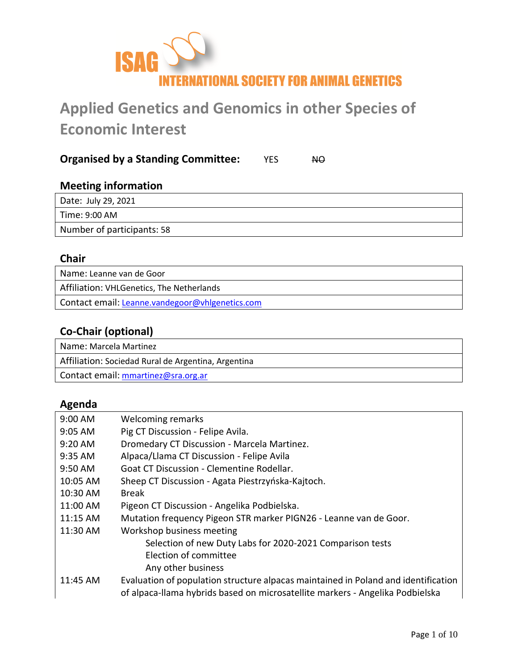

# **Applied Genetics and Genomics in other Species of Economic Interest**

## **Organised by a Standing Committee:** YES NO

## **Meeting information** Date: July 29, 2021 Time: 9:00 AM Number of participants: 58

## **Chair**

Name: Leanne van de Goor Affiliation: VHLGenetics, The Netherlands Contact email: [Leanne.vandegoor@vhlgenetics.com](mailto:Leanne.vandegoor@vhlgenetics.com)

## **Co-Chair (optional)**

Name: Marcela Martinez Affiliation: Sociedad Rural de Argentina, Argentina Contact email: [mmartinez@sra.org.ar](mailto:mmartinez@sra.org.ar)

## **Agenda**

| $9:00$ AM         | Welcoming remarks                                                                  |
|-------------------|------------------------------------------------------------------------------------|
| $9:05 \text{ AM}$ | Pig CT Discussion - Felipe Avila.                                                  |
| $9:20 \text{ AM}$ | Dromedary CT Discussion - Marcela Martinez.                                        |
| $9:35$ AM         | Alpaca/Llama CT Discussion - Felipe Avila                                          |
| 9:50 AM           | Goat CT Discussion - Clementine Rodellar.                                          |
| $10:05$ AM        | Sheep CT Discussion - Agata Piestrzyńska-Kajtoch.                                  |
| 10:30 AM          | <b>Break</b>                                                                       |
| 11:00 AM          | Pigeon CT Discussion - Angelika Podbielska.                                        |
| $11:15$ AM        | Mutation frequency Pigeon STR marker PIGN26 - Leanne van de Goor.                  |
| $11:30$ AM        | Workshop business meeting                                                          |
|                   | Selection of new Duty Labs for 2020-2021 Comparison tests                          |
|                   | Election of committee                                                              |
|                   | Any other business                                                                 |
| $11:45$ AM        | Evaluation of population structure alpacas maintained in Poland and identification |
|                   | of alpaca-llama hybrids based on microsatellite markers - Angelika Podbielska      |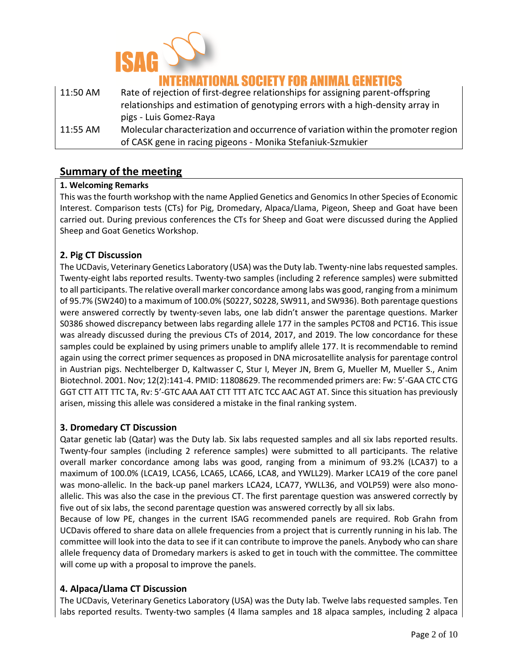

## IONAL SOCIETY FOR ANIMAL G

| 11:50 AM | Rate of rejection of first-degree relationships for assigning parent-offspring    |
|----------|-----------------------------------------------------------------------------------|
|          | relationships and estimation of genotyping errors with a high-density array in    |
|          | pigs - Luis Gomez-Raya                                                            |
| 11:55 AM | Molecular characterization and occurrence of variation within the promoter region |
|          | of CASK gene in racing pigeons - Monika Stefaniuk-Szmukier                        |

## **Summary of the meeting**

#### **1. Welcoming Remarks**

This was the fourth workshop with the name Applied Genetics and Genomics In other Species of Economic Interest. Comparison tests (CTs) for Pig, Dromedary, Alpaca/Llama, Pigeon, Sheep and Goat have been carried out. During previous conferences the CTs for Sheep and Goat were discussed during the Applied Sheep and Goat Genetics Workshop.

#### **2. Pig CT Discussion**

The UCDavis, Veterinary Genetics Laboratory (USA) was the Duty lab. Twenty-nine labs requested samples. Twenty-eight labs reported results. Twenty-two samples (including 2 reference samples) were submitted to all participants. The relative overall marker concordance among labs was good, ranging from a minimum of 95.7% (SW240) to a maximum of 100.0% (S0227, S0228, SW911, and SW936). Both parentage questions were answered correctly by twenty-seven labs, one lab didn't answer the parentage questions. Marker S0386 showed discrepancy between labs regarding allele 177 in the samples PCT08 and PCT16. This issue was already discussed during the previous CTs of 2014, 2017, and 2019. The low concordance for these samples could be explained by using primers unable to amplify allele 177. It is recommendable to remind again using the correct primer sequences as proposed in DNA microsatellite analysis for parentage control in Austrian pigs. Nechtelberger D, Kaltwasser C, Stur I, Meyer JN, Brem G, Mueller M, Mueller S., Anim Biotechnol. 2001. Nov; 12(2):141-4. PMID: 11808629. The recommended primers are: Fw: 5'-GAA CTC CTG GGT CTT ATT TTC TA, Rv: 5'-GTC AAA AAT CTT TTT ATC TCC AAC AGT AT. Since this situation has previously arisen, missing this allele was considered a mistake in the final ranking system.

#### **3. Dromedary CT Discussion**

Qatar genetic lab (Qatar) was the Duty lab. Six labs requested samples and all six labs reported results. Twenty-four samples (including 2 reference samples) were submitted to all participants. The relative overall marker concordance among labs was good, ranging from a minimum of 93.2% (LCA37) to a maximum of 100.0% (LCA19, LCA56, LCA65, LCA66, LCA8, and YWLL29). Marker LCA19 of the core panel was mono-allelic. In the back-up panel markers LCA24, LCA77, YWLL36, and VOLP59) were also monoallelic. This was also the case in the previous CT. The first parentage question was answered correctly by five out of six labs, the second parentage question was answered correctly by all six labs.

Because of low PE, changes in the current ISAG recommended panels are required. Rob Grahn from UCDavis offered to share data on allele frequencies from a project that is currently running in his lab. The committee will look into the data to see if it can contribute to improve the panels. Anybody who can share allele frequency data of Dromedary markers is asked to get in touch with the committee. The committee will come up with a proposal to improve the panels.

#### **4. Alpaca/Llama CT Discussion**

The UCDavis, Veterinary Genetics Laboratory (USA) was the Duty lab. Twelve labs requested samples. Ten labs reported results. Twenty-two samples (4 llama samples and 18 alpaca samples, including 2 alpaca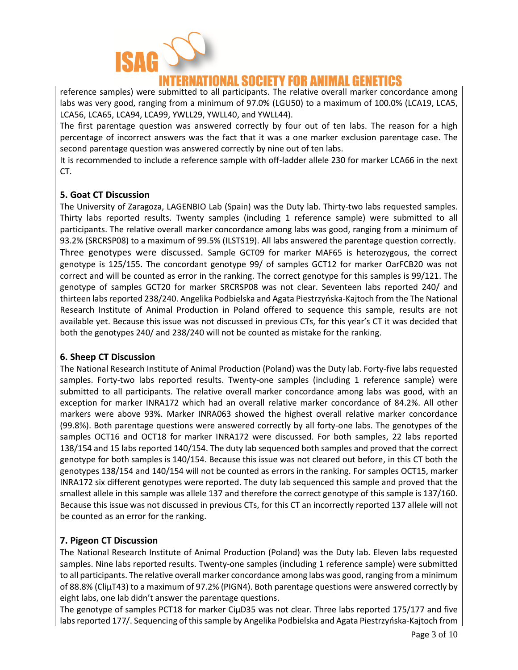

## INATIONAL SOCIETY FOR ANIMAL GEN

reference samples) were submitted to all participants. The relative overall marker concordance among labs was very good, ranging from a minimum of 97.0% (LGU50) to a maximum of 100.0% (LCA19, LCA5, LCA56, LCA65, LCA94, LCA99, YWLL29, YWLL40, and YWLL44).

The first parentage question was answered correctly by four out of ten labs. The reason for a high percentage of incorrect answers was the fact that it was a one marker exclusion parentage case. The second parentage question was answered correctly by nine out of ten labs.

It is recommended to include a reference sample with off-ladder allele 230 for marker LCA66 in the next CT.

### **5. Goat CT Discussion**

The University of Zaragoza, LAGENBIO Lab (Spain) was the Duty lab. Thirty-two labs requested samples. Thirty labs reported results. Twenty samples (including 1 reference sample) were submitted to all participants. The relative overall marker concordance among labs was good, ranging from a minimum of 93.2% (SRCRSP08) to a maximum of 99.5% (ILSTS19). All labs answered the parentage question correctly. Three genotypes were discussed. Sample GCT09 for marker MAF65 is heterozygous, the correct genotype is 125/155. The concordant genotype 99/ of samples GCT12 for marker OarFCB20 was not correct and will be counted as error in the ranking. The correct genotype for this samples is 99/121. The genotype of samples GCT20 for marker SRCRSP08 was not clear. Seventeen labs reported 240/ and thirteen labs reported 238/240. Angelika Podbielska and Agata Piestrzyńska-Kajtoch from the The National Research Institute of Animal Production in Poland offered to sequence this sample, results are not available yet. Because this issue was not discussed in previous CTs, for this year's CT it was decided that both the genotypes 240/ and 238/240 will not be counted as mistake for the ranking.

#### **6. Sheep CT Discussion**

The National Research Institute of Animal Production (Poland) was the Duty lab. Forty-five labs requested samples. Forty-two labs reported results. Twenty-one samples (including 1 reference sample) were submitted to all participants. The relative overall marker concordance among labs was good, with an exception for marker INRA172 which had an overall relative marker concordance of 84.2%. All other markers were above 93%. Marker INRA063 showed the highest overall relative marker concordance (99.8%). Both parentage questions were answered correctly by all forty-one labs. The genotypes of the samples OCT16 and OCT18 for marker INRA172 were discussed. For both samples, 22 labs reported 138/154 and 15 labs reported 140/154. The duty lab sequenced both samples and proved that the correct genotype for both samples is 140/154. Because this issue was not cleared out before, in this CT both the genotypes 138/154 and 140/154 will not be counted as errors in the ranking. For samples OCT15, marker INRA172 six different genotypes were reported. The duty lab sequenced this sample and proved that the smallest allele in this sample was allele 137 and therefore the correct genotype of this sample is 137/160. Because this issue was not discussed in previous CTs, for this CT an incorrectly reported 137 allele will not be counted as an error for the ranking.

## **7. Pigeon CT Discussion**

The National Research Institute of Animal Production (Poland) was the Duty lab. Eleven labs requested samples. Nine labs reported results. Twenty-one samples (including 1 reference sample) were submitted to all participants. The relative overall marker concordance among labs was good, ranging from a minimum of 88.8% (CliµT43) to a maximum of 97.2% (PIGN4). Both parentage questions were answered correctly by eight labs, one lab didn't answer the parentage questions.

The genotype of samples PCT18 for marker CiµD35 was not clear. Three labs reported 175/177 and five labs reported 177/. Sequencing of this sample by Angelika Podbielska and Agata Piestrzyńska-Kajtoch from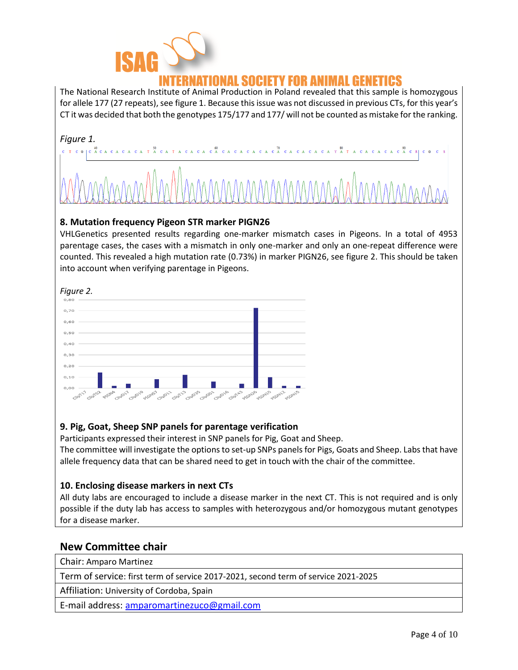

The National Research Institute of Animal Production in Poland revealed that this sample is homozygous for allele 177 (27 repeats), see figure 1. Because this issue was not discussed in previous CTs, for this year's CT it was decided that both the genotypes 175/177 and 177/ will not be counted as mistake for the ranking.



### **8. Mutation frequency Pigeon STR marker PIGN26**

VHLGenetics presented results regarding one-marker mismatch cases in Pigeons. In a total of 4953 parentage cases, the cases with a mismatch in only one-marker and only an one-repeat difference were counted. This revealed a high mutation rate (0.73%) in marker PIGN26, see figure 2. This should be taken into account when verifying parentage in Pigeons.



## **9. Pig, Goat, Sheep SNP panels for parentage verification**

Participants expressed their interest in SNP panels for Pig, Goat and Sheep.

The committee will investigate the options to set-up SNPs panels for Pigs, Goats and Sheep. Labs that have allele frequency data that can be shared need to get in touch with the chair of the committee.

## **10. Enclosing disease markers in next CTs**

All duty labs are encouraged to include a disease marker in the next CT. This is not required and is only possible if the duty lab has access to samples with heterozygous and/or homozygous mutant genotypes for a disease marker.

## **New Committee chair**

Chair: Amparo Martinez

Term of service: first term of service 2017-2021, second term of service 2021-2025

Affiliation: University of Cordoba, Spain

E-mail address: [amparomartinezuco@gmail.com](mailto:amparomartinezuco@gmail.com)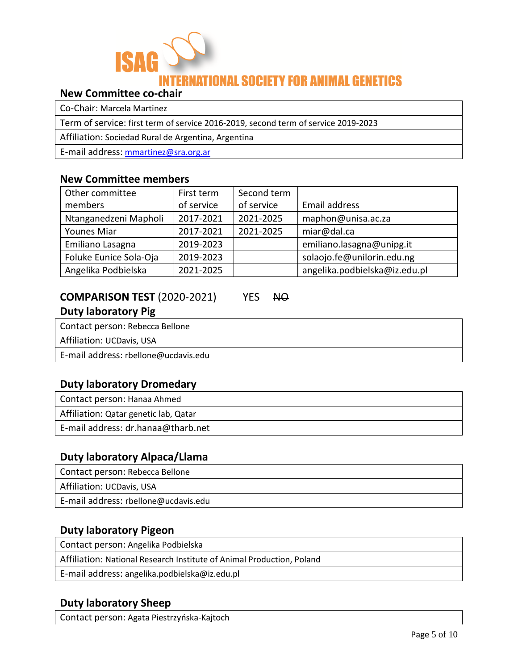

## **New Committee co-chair**

Co-Chair: Marcela Martinez

Term of service: first term of service 2016-2019, second term of service 2019-2023

Affiliation: Sociedad Rural de Argentina, Argentina

E-mail address: [mmartinez@sra.org.ar](mailto:mmartinez@sra.org.ar)

### **New Committee members**

| Other committee        | First term | Second term |                               |
|------------------------|------------|-------------|-------------------------------|
| members                | of service | of service  | Email address                 |
| Ntanganedzeni Mapholi  | 2017-2021  | 2021-2025   | maphon@unisa.ac.za            |
| Younes Miar            | 2017-2021  | 2021-2025   | miar@dal.ca                   |
| Emiliano Lasagna       | 2019-2023  |             | emiliano.lasagna@unipg.it     |
| Foluke Eunice Sola-Oja | 2019-2023  |             | solaojo.fe@unilorin.edu.ng    |
| Angelika Podbielska    | 2021-2025  |             | angelika.podbielska@iz.edu.pl |

## **COMPARISON TEST** (2020-2021) YES NO

## **Duty laboratory Pig**

Contact person: Rebecca Bellone

Affiliation: UCDavis, USA

E-mail address: rbellone@ucdavis.edu

## **Duty laboratory Dromedary**

Contact person: Hanaa Ahmed

Affiliation: Qatar genetic lab, Qatar

E-mail address: dr.hanaa@tharb.net

## **Duty laboratory Alpaca/Llama**

Contact person: Rebecca Bellone Affiliation: UCDavis, USA E-mail address: rbellone@ucdavis.edu

## **Duty laboratory Pigeon**

Contact person: Angelika Podbielska

Affiliation: National Research Institute of Animal Production, Poland

E-mail address: angelika.podbielska@iz.edu.pl

## **Duty laboratory Sheep**

Contact person: Agata Piestrzyńska-Kajtoch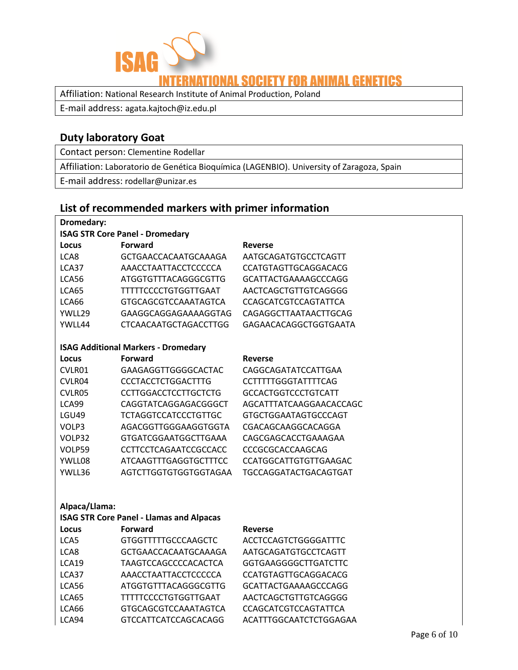

## **IONAL SOCIETY FOR ANIMAL GENETICS**

Affiliation: National Research Institute of Animal Production, Poland

E-mail address: agata.kajtoch@iz.edu.pl

## **Duty laboratory Goat**

Contact person: Clementine Rodellar

Affiliation: Laboratorio de Genética Bioquímica (LAGENBIO). University of Zaragoza, Spain

E-mail address: rodellar@unizar.es

## **List of recommended markers with primer information**

| Dromedary:    |                                                 |                              |  |
|---------------|-------------------------------------------------|------------------------------|--|
|               | <b>ISAG STR Core Panel - Dromedary</b>          |                              |  |
| Locus         | Forward                                         | Reverse                      |  |
| LCA8          | GCTGAACCACAATGCAAAGA                            | AATGCAGATGTGCCTCAGTT         |  |
| LCA37         | AAACCTAATTACCTCCCCCA                            | CCATGTAGTTGCAGGACACG         |  |
| LCA56         | <b>ATGGTGTTTACAGGGCGTTG</b>                     | <b>GCATTACTGAAAAGCCCAGG</b>  |  |
| LCA65         | <b>TTTTTCCCCTGTGGTTGAAT</b>                     | AACTCAGCTGTTGTCAGGGG         |  |
| LCA66         | <b>GTGCAGCGTCCAAATAGTCA</b>                     | <b>CCAGCATCGTCCAGTATTCA</b>  |  |
| YWLL29        | GAAGGCAGGAGAAAAGGTAG                            | CAGAGGCTTAATAACTTGCAG        |  |
| YWLL44        | <b>CTCAACAATGCTAGACCTTGG</b>                    | GAGAACACAGGCTGGTGAATA        |  |
|               | <b>ISAG Additional Markers - Dromedary</b>      |                              |  |
| Locus         | <b>Forward</b>                                  | <b>Reverse</b>               |  |
| CVLR01        | GAAGAGGTTGGGGCACTAC                             | CAGGCAGATATCCATTGAA          |  |
| CVLR04        | <b>CCCTACCTCTGGACTTTG</b>                       | CCTTTTTGGGTATTTTCAG          |  |
| CVLR05        | <b>CCTTGGACCTCCTTGCTCTG</b>                     | <b>GCCACTGGTCCCTGTCATT</b>   |  |
| LCA99         | CAGGTATCAGGAGACGGGCT                            | AGCATTTATCAAGGAACACCAGC      |  |
| <b>LGU49</b>  | <b>TCTAGGTCCATCCCTGTTGC</b>                     | <b>GTGCTGGAATAGTGCCCAGT</b>  |  |
| VOLP3         | AGACGGTTGGGAAGGTGGTA                            | CGACAGCAAGGCACAGGA           |  |
| VOLP32        | GTGATCGGAATGGCTTGAAA                            | CAGCGAGCACCTGAAAGAA          |  |
| VOLP59        | CCTTCCTCAGAATCCGCCACC                           | CCCGCGCACCAAGCAG             |  |
| YWLL08        | <b>ATCAAGTTTGAGGTGCTTTCC</b>                    | <b>CCATGGCATTGTGTTGAAGAC</b> |  |
| YWLL36        | AGTCTTGGTGTGGTGGTAGAA                           | TGCCAGGATACTGACAGTGAT        |  |
|               |                                                 |                              |  |
| Alpaca/Llama: |                                                 |                              |  |
|               | <b>ISAG STR Core Panel - Llamas and Alpacas</b> |                              |  |
| Locus         | <b>Forward</b>                                  | Reverse                      |  |
| LCA5          | <b>GTGGTTTTTGCCCAAGCTC</b>                      | <b>ACCTCCAGTCTGGGGATTTC</b>  |  |
| LCA8          | GCTGAACCACAATGCAAAGA                            | AATGCAGATGTGCCTCAGTT         |  |
| LCA19         | TAAGTCCAGCCCCACACTCA                            | GGTGAAGGGGCTTGATCTTC         |  |
| LCA37         | AAACCTAATTACCTCCCCCA                            | CCATGTAGTTGCAGGACACG         |  |
| LCA56         | <b>ATGGTGTTTACAGGGCGTTG</b>                     | <b>GCATTACTGAAAAGCCCAGG</b>  |  |
| LCA65         | TTTTTCCCCTGTGGTTGAAT                            | AACTCAGCTGTTGTCAGGGG         |  |
| LCA66         | <b>GTGCAGCGTCCAAATAGTCA</b>                     | <b>CCAGCATCGTCCAGTATTCA</b>  |  |
| LCA94         | <b>GTCCATTCATCCAGCACAGG</b>                     | ACATTTGGCAATCTCTGGAGAA       |  |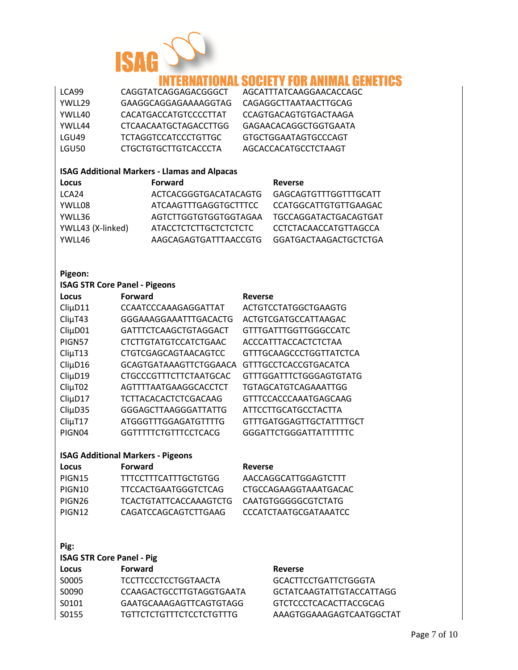

## **RNATIONAL SOCIETY FOR ANIMAL GENETICS**

| LCA99   | CAGGTATCAGGAGACGGGCT         | AGCATTTATCAAGGAACACCAGC |
|---------|------------------------------|-------------------------|
| YWLL29  | GAAGGCAGGAGAAAAGGTAG         | CAGAGGCTTAATAACTTGCAG   |
| YWLL40  | CACATGACCATGTCCCCTTAT        | CCAGTGACAGTGTGACTAAGA   |
| YWLI 44 | <b>CTCAACAATGCTAGACCTTGG</b> | GAGAACACAGGCTGGTGAATA   |
| LGU49   | TCTAGGTCCATCCCTGTTGC         | GTGCTGGAATAGTGCCCAGT    |
| LGU50   | CTGCTGTGCTTGTCACCCTA         | AGCACCACATGCCTCTAAGT    |
|         |                              |                         |

### **ISAG Additional Markers - Llamas and Alpacas**

| Locus             | <b>Forward</b>        | <b>Reverse</b>               |
|-------------------|-----------------------|------------------------------|
| LCA24             | ACTCACGGGTGACATACAGTG | GAGCAGTGTTTGGTTTGCATT        |
| YWLL08            | ATCAAGTTTGAGGTGCTTTCC | <b>CCATGGCATTGTGTTGAAGAC</b> |
| YWLL36            | AGTCTTGGTGTGGTGGTAGAA | TGCCAGGATACTGACAGTGAT        |
| YWLL43 (X-linked) | ATACCTCTCTTGCTCTCTCTC | CCTCTACAACCATGTTAGCCA        |
| YWLL46            | AAGCAGAGTGATTTAACCGTG | GGATGACTAAGACTGCTCTGA        |

#### **Pigeon:**

| <b>ISAG STR Core Panel - Pigeons</b>     |                               |                                |  |
|------------------------------------------|-------------------------------|--------------------------------|--|
| Locus                                    | <b>Forward</b>                | <b>Reverse</b>                 |  |
| $Cli\mu$ D11                             | CCAATCCCAAAGAGGATTAT          | ACTGTCCTATGGCTGAAGTG           |  |
| $Cli\mu$ T43                             | GGGAAAGGAAATTTGACACTG         | ACTGTCGATGCCATTAAGAC           |  |
| $Cli\mu$ D01                             | GATTTCTCAAGCTGTAGGACT         | <b>GTTTGATTTGGTTGGGCCATC</b>   |  |
| PIGN57                                   | <b>CTCTTGTATGTCCATCTGAAC</b>  | ACCCATTTACCACTCTCTAA           |  |
| $Cli\mu$ T13                             | CTGTCGAGCAGTAACAGTCC          | <b>GTTTGCAAGCCCTGGTTATCTCA</b> |  |
| $Cli\mu$ D16                             | GCAGTGATAAAGTTCTGGAACA        | <b>GTTTGCCTCACCGTGACATCA</b>   |  |
| $Cli\mu D19$                             | <b>CTGCCCGTTTCTTCTAATGCAC</b> | <b>GTTTGGATTTCTGGGAGTGTATG</b> |  |
| $Cli\mu$ T02                             | AGTTTTAATGAAGGCACCTCT         | TGTAGCATGTCAGAAATTGG           |  |
| $Cli\mu$ D17                             | TCTTACACACTCTCGACAAG          | GTTTCCACCCAAATGAGCAAG          |  |
| $Cli\mu$ D35                             | GGGAGCTTAAGGGATTATTG          | ATTCCTTGCATGCCTACTTA           |  |
| $Cli\mu$ T17                             | ATGGGTTTGGAGATGTTTTG          | GTTTGATGGAGTTGCTATTTTGCT       |  |
| PIGN04                                   | GGTTTTTCTGTTTCCTCACG          | <b>GGGATTCTGGGATTATTTTTC</b>   |  |
| <b>ISAG Additional Markers - Pigeons</b> |                               |                                |  |
| Locus                                    | <b>Forward</b>                | <b>Reverse</b>                 |  |
| PIGN15                                   | TTTCCTTTCATTTGCTGTGG          | AACCAGGCATTGGAGTCTTT           |  |
| PIGN10                                   | TTCCACTGAATGGGTCTCAG          | CTGCCAGAAGGTAAATGACAC          |  |
|                                          |                               |                                |  |

| <b>PIUTIVI</b> D | ,,,,,,,,,,,,,,,,,,,,,,,,, | AACCAGGCATTGGAGTCTT          |
|------------------|---------------------------|------------------------------|
| PIGN10           | TTCCACTGAATGGGTCTCAG      | CTGCCAGAAGGTAAATGACAO        |
| PIGN26           | TCACTGTATTCACCAAAGTCTG    | CAATGTGGGGGCGTCTATG          |
| PIGN12           | CAGATCCAGCAGTCTTGAAG      | <b>CCCATCTAATGCGATAAATCC</b> |

## **Pig:**

| <b>ISAG STR Core Panel - Pig</b> |                |
|----------------------------------|----------------|
| Locus                            | <b>Forward</b> |
|                                  |                |

| TCCTTCCCTCCTGGTAACTA     |
|--------------------------|
| CCAAGACTGCCTTGTAGGTGAATA |
| GAATGCAAAGAGTTCAGTGTAGG  |
| TGTTCTCTGTTTCTCCTCTGTTTG |
|                          |

#### **Locus Forward Reverse**

GCACTTCCTGATTCTGGGTA GCTATCAAGTATTGTACCATTAGG GTCTCCCTCACACTTACCGCAG AAAGTGGAAAGAGTCAATGGCTAT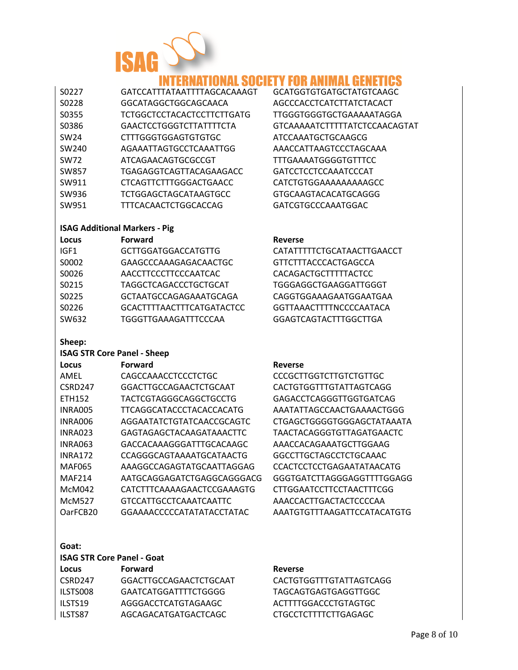

## **INTERNATIONAL SOCIETY FOR ANIMAL GENETICS**

| S0227             | GATCCATTTATAATTTTAGCACAAAG   |
|-------------------|------------------------------|
| S0228             | GGCATAGGCTGGCAGCAACA         |
| S0355             | TCTGGCTCCTACACTCCTTCTTGATG   |
| S0386             | GAACTCCTGGGTCTTATTTTCTA      |
| SW <sub>24</sub>  | CTTTGGGTGGAGTGTGTGC          |
| SW <sub>240</sub> | AGAAATTAGTGCCTCAAATTGG       |
| <b>SW72</b>       | ATCAGAACAGTGCGCCGT           |
| <b>SW857</b>      | TGAGAGGTCAGTTACAGAAGACC      |
| SW911             | CTCAGTTCTTTGGGACTGAACC       |
| SW936             | <b>TCTGGAGCTAGCATAAGTGCC</b> |
| SW951             | TTTCACAACTCTGGCACCAG         |
|                   |                              |

#### **ISAG Additional Markers - Pig**

| Locus            | <b>Forward</b>                   | <b>Reverse</b> |
|------------------|----------------------------------|----------------|
| IGF <sub>1</sub> | <b>GCTTGGATGGACCATGTTG</b>       | <b>CATATT</b>  |
| S0002            | GAAGCCCAAAGAGACAACTGC            | <b>GTTCTT</b>  |
| S0026            | AACCTTCCCTTCCCAATCAC             | <b>CACAGA</b>  |
| S0215            | TAGGCTCAGACCCTGCTGCAT            | <b>TGGGAO</b>  |
| S0225            | GCTAATGCCAGAGAAATGCAGA           | <b>CAGGTG</b>  |
| S0226            | <b>GCACTTTTAACTTTCATGATACTCC</b> | <b>GGTTAA</b>  |
| SW632            | TGGGTTGAAAGATTTCCCAA             | <b>GGAGTO</b>  |
|                  |                                  |                |

#### **Sheep:**

#### **ISAG STR Core Panel - Sheep**

| Locus                | <b>Forward</b>                | <b>Reverse</b> |
|----------------------|-------------------------------|----------------|
| <b>AMEL</b>          | CAGCCAAACCTCCCTCTGC           | <b>CCCGCT</b>  |
| CSRD247              | GGACTTGCCAGAACTCTGCAAT        | <b>CACTGT</b>  |
| <b>ETH152</b>        | TACTCGTAGGGCAGGCTGCCTG        | <b>GAGACO</b>  |
| INRA005              | TTCAGGCATACCCTACACCACATG      | AAATAT         |
| INRA006              | AGGAATATCTGTATCAACCGCAGTC     | <b>CTGAGC</b>  |
| INRA023              | GAGTAGAGCTACAAGATAAACTTC      | <b>TAACTA</b>  |
| INRA063              | GACCACAAAGGGATTTGCACAAGC      | AAACCA         |
| <b>INRA172</b>       | CCAGGGCAGTAAAATGCATAACTG      | GGCCTT         |
| <b>MAF065</b>        | AAAGGCCAGAGTATGCAATTAGGAG     | <b>CCACTC</b>  |
| <b>MAF214</b>        | AATGCAGGAGATCTGAGGCAGGGACG    | GGGTG/         |
| McM042               | CATCTTTCAAAAGAACTCCGAAAGTG    | <b>CTTGGA</b>  |
| <b>McM527</b>        | <b>GTCCATTGCCTCAAATCAATTC</b> | AAACCA         |
| OarFCB <sub>20</sub> | GGAAAACCCCCATATATACCTATAC     | AAATGT         |

#### **Goat:**

| <b>ISAG STR Core Panel - Goat</b> |                |         |
|-----------------------------------|----------------|---------|
| Locus                             | <b>Forward</b> | Reverse |

| CSRD <sub>247</sub> | GGACTTGCCAGAACTCTGCAAT |
|---------------------|------------------------|
| ILSTS008            | GAATCATGGATTTTCTGGGG   |
| ILSTS19             | AGGGACCTCATGTAGAAGC    |
| ILSTS87             | AGCAGACATGATGACTCAGC   |

CACTGTGGTTTGTATTAGTCAGG TAGCAGTGAGTGAGGTTGGC ACTTTTGGACCCTGTAGTGC CTGCCTCTTTTCTTGAGAGC

T GCATGGTGTGATGCTATGTCAAGC AGCCCACCTCATCTTATCTACACT TTGGGTGGGTGCTGAAAAATAGGA GTCAAAAATCTTTTTATCTCCAACAGTAT ATCCAAATGCTGCAAGCG AAACCATTAAGTCCCTAGCAAA TTTGAAAATGGGGTGTTTCC GATCCTCCTCCAAATCCCAT CATCTGTGGAAAAAAAAAGCC GTGCAAGTACACATGCAGGG GATCGTGCCCAAATGGAC

CATATTTTTCTGCATAACTTGAACCT GTTCTTTACCCACTGAGCCA CACAGACTGCTTTTTACTCC TGGGAGGCTGAAGGATTGGGT CAGGTGGAAAGAATGGAATGAA GGTTAAACTTTTNCCCCAATACA GGAGTCAGTACTTTGGCTTGA

CCCGCTTGGTCTTGTCTGTTGC CACTGTGGTTTGTATTAGTCAGG GAGACCTCAGGGTTGGTGATCAG AAATATTAGCCAACTGAAAACTGGG CTGAGCTGGGGTGGGAGCTATAAATA TAACTACAGGGTGTTAGATGAACTC AAACCACAGAAATGCTTGGAAG GGCCTTGCTAGCCTCTGCAAAC CCACTCCTCCTGAGAATATAACATG GGGTGATCTTAGGGAGGTTTTGGAGG CTTGGAATCCTTCCTAACTTTCGG AAACCACTTGACTACTCCCCAA AAATGTGTTTAAGATTCCATACATGTG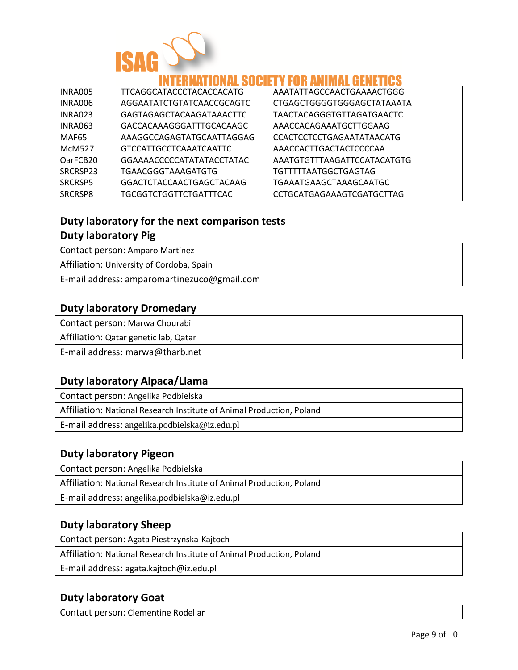

## INNAI SNEIFTY FNR ANIMAI GFNF

| INRA005              | TTCAGGCATACCCTACACCACATG      | AAATATTAGCCAACTGAAAACTGGG        |
|----------------------|-------------------------------|----------------------------------|
| INRA006              | AGGAATATCTGTATCAACCGCAGTC     | CTGAGCTGGGGTGGGAGCTATAAATA       |
| <b>INRA023</b>       | GAGTAGAGCTACAAGATAAACTTC      | TAACTACAGGGTGTTAGATGAACTC        |
| <b>INRA063</b>       | GACCACAAAGGGATTTGCACAAGC      | AAACCACAGAAATGCTTGGAAG           |
| MAF <sub>65</sub>    | AAAGGCCAGAGTATGCAATTAGGAG     | <b>CCACTCCTCCTGAGAATATAACATG</b> |
| <b>McM527</b>        | <b>GTCCATTGCCTCAAATCAATTC</b> | AAACCACTTGACTACTCCCCAA           |
| OarFCB <sub>20</sub> | GGAAAACCCCCATATATACCTATAC     | AAATGTGTTTAAGATTCCATACATGTG      |
| SRCRSP23             | TGAACGGGTAAAGATGTG            | TGTTTTTAATGGCTGAGTAG             |
| SRCRSP5              | GGACTCTACCAACTGAGCTACAAG      | TGAAATGAAGCTAAAGCAATGC           |
| SRCRSP8              | <b>TGCGGTCTGGTTCTGATTTCAC</b> | CCTGCATGAGAAAGTCGATGCTTAG        |

## **Duty laboratory for the next comparison tests Duty laboratory Pig**

Contact person: Amparo Martinez

Affiliation: University of Cordoba, Spain

E-mail address: amparomartinezuco@gmail.com

## **Duty laboratory Dromedary**

Contact person: Marwa Chourabi

Affiliation: Qatar genetic lab, Qatar

E-mail address: marwa@tharb.net

## **Duty laboratory Alpaca/Llama**

Contact person: Angelika Podbielska

Affiliation: National Research Institute of Animal Production, Poland

E-mail address: angelika.podbielska@iz.edu.pl

## **Duty laboratory Pigeon**

Contact person: Angelika Podbielska

Affiliation: National Research Institute of Animal Production, Poland

E-mail address: angelika.podbielska@iz.edu.pl

## **Duty laboratory Sheep**

Contact person: Agata Piestrzyńska-Kajtoch

Affiliation: National Research Institute of Animal Production, Poland

E-mail address: agata.kajtoch@iz.edu.pl

## **Duty laboratory Goat**

Contact person: Clementine Rodellar